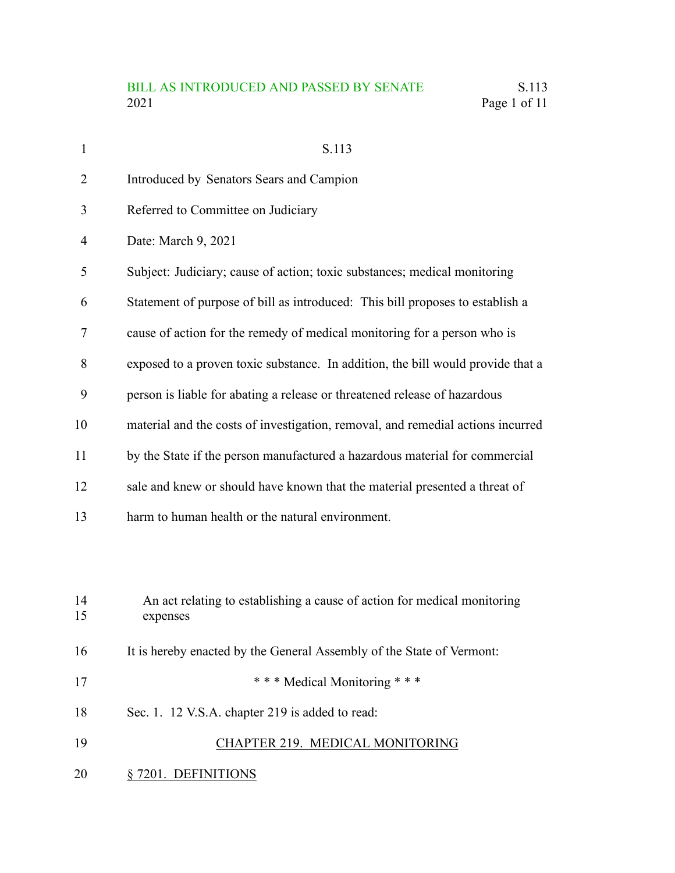| $\mathbf{1}$ | S.113                                                                                |
|--------------|--------------------------------------------------------------------------------------|
| 2            | Introduced by Senators Sears and Campion                                             |
| 3            | Referred to Committee on Judiciary                                                   |
| 4            | Date: March 9, 2021                                                                  |
| 5            | Subject: Judiciary; cause of action; toxic substances; medical monitoring            |
| 6            | Statement of purpose of bill as introduced: This bill proposes to establish a        |
| 7            | cause of action for the remedy of medical monitoring for a person who is             |
| 8            | exposed to a proven toxic substance. In addition, the bill would provide that a      |
| 9            | person is liable for abating a release or threatened release of hazardous            |
| 10           | material and the costs of investigation, removal, and remedial actions incurred      |
| 11           | by the State if the person manufactured a hazardous material for commercial          |
| 12           | sale and knew or should have known that the material presented a threat of           |
| 13           | harm to human health or the natural environment.                                     |
|              |                                                                                      |
|              |                                                                                      |
| 14<br>15     | An act relating to establishing a cause of action for medical monitoring<br>expenses |
| 16           | It is hereby enacted by the General Assembly of the State of Vermont:                |
| 17           | *** Medical Monitoring ***                                                           |
| 18           | Sec. 1. 12 V.S.A. chapter 219 is added to read:                                      |
| 19           | CHAPTER 219. MEDICAL MONITORING                                                      |
|              |                                                                                      |
| 20           | § 7201. DEFINITIONS                                                                  |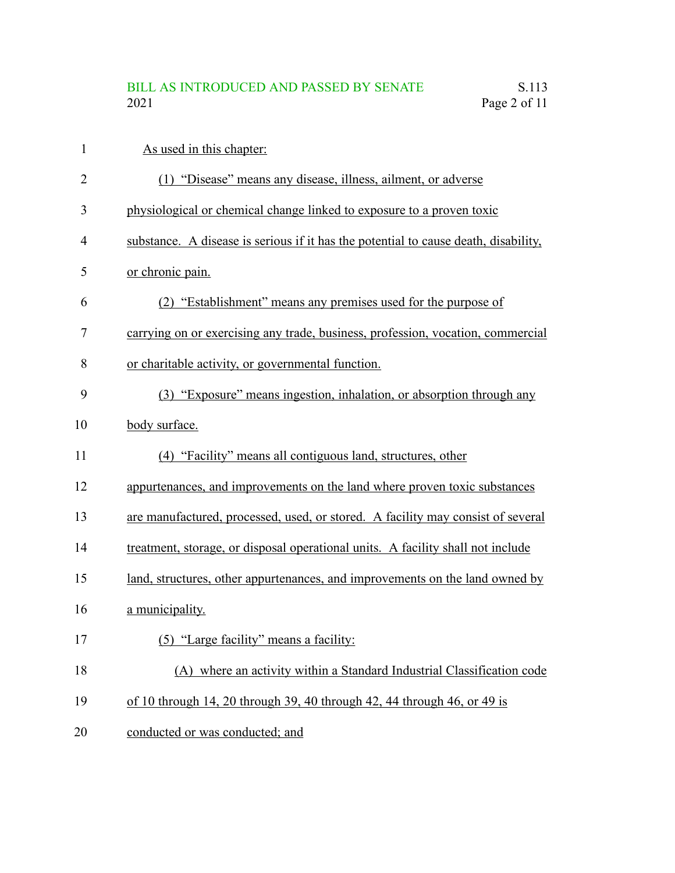| $\mathbf{1}$   | As used in this chapter:                                                            |
|----------------|-------------------------------------------------------------------------------------|
| $\overline{2}$ | (1) "Disease" means any disease, illness, ailment, or adverse                       |
| 3              | physiological or chemical change linked to exposure to a proven toxic               |
| 4              | substance. A disease is serious if it has the potential to cause death, disability, |
| 5              | or chronic pain.                                                                    |
| 6              | (2) "Establishment" means any premises used for the purpose of                      |
| 7              | carrying on or exercising any trade, business, profession, vocation, commercial     |
| 8              | or charitable activity, or governmental function.                                   |
| 9              | (3) "Exposure" means ingestion, inhalation, or absorption through any               |
| 10             | body surface.                                                                       |
| 11             | (4) "Facility" means all contiguous land, structures, other                         |
| 12             | appurtenances, and improvements on the land where proven toxic substances           |
| 13             | are manufactured, processed, used, or stored. A facility may consist of several     |
| 14             | treatment, storage, or disposal operational units. A facility shall not include     |
| 15             | land, structures, other appurtenances, and improvements on the land owned by        |
| 16             | a municipality.                                                                     |
| 17             | (5) "Large facility" means a facility:                                              |
| 18             | (A) where an activity within a Standard Industrial Classification code              |
| 19             | of 10 through 14, 20 through 39, 40 through 42, 44 through 46, or 49 is             |
| 20             | conducted or was conducted; and                                                     |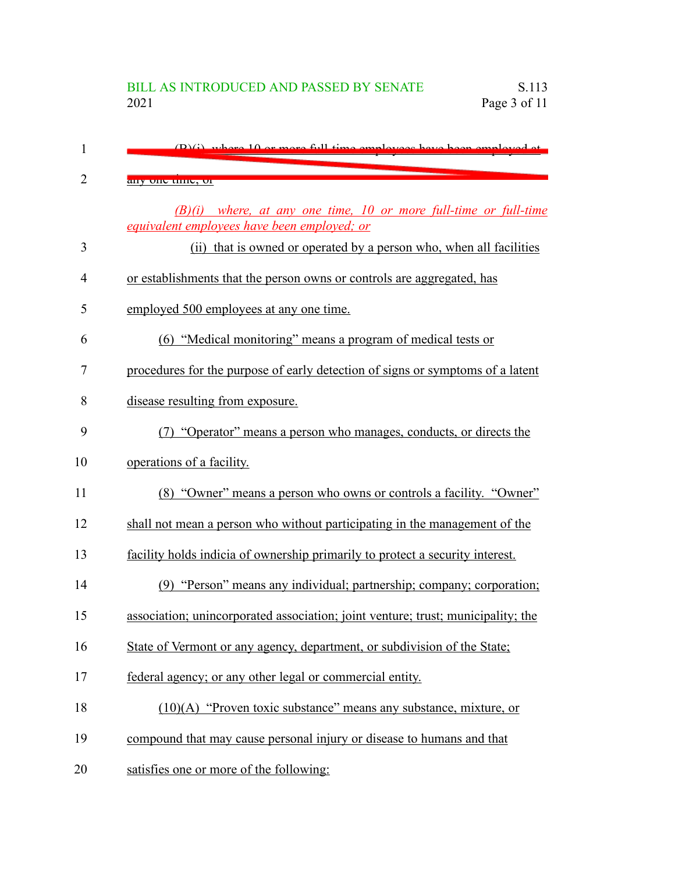| 1              | $(D)(i)$ where $10$ or more full time employees have been employed                                                |
|----------------|-------------------------------------------------------------------------------------------------------------------|
| $\overline{2}$ | any one unic, or                                                                                                  |
|                | $(B)(i)$ where, at any one time, 10 or more full-time or full-time<br>equivalent employees have been employed; or |
| 3              | (ii) that is owned or operated by a person who, when all facilities                                               |
| $\overline{4}$ | or establishments that the person owns or controls are aggregated, has                                            |
| 5              | employed 500 employees at any one time.                                                                           |
| 6              | (6) "Medical monitoring" means a program of medical tests or                                                      |
| 7              | procedures for the purpose of early detection of signs or symptoms of a latent                                    |
| 8              | disease resulting from exposure.                                                                                  |
| 9              | (7) "Operator" means a person who manages, conducts, or directs the                                               |
| 10             | operations of a facility.                                                                                         |
| 11             | (8) "Owner" means a person who owns or controls a facility. "Owner"                                               |
| 12             | shall not mean a person who without participating in the management of the                                        |
| 13             | facility holds indicia of ownership primarily to protect a security interest.                                     |
| 14             | (9) "Person" means any individual; partnership; company; corporation;                                             |
| 15             | association; unincorporated association; joint venture; trust; municipality; the                                  |
| 16             | State of Vermont or any agency, department, or subdivision of the State;                                          |
| 17             | federal agency; or any other legal or commercial entity.                                                          |
| 18             | $(10)(A)$ "Proven toxic substance" means any substance, mixture, or                                               |
| 19             | compound that may cause personal injury or disease to humans and that                                             |
| 20             | satisfies one or more of the following:                                                                           |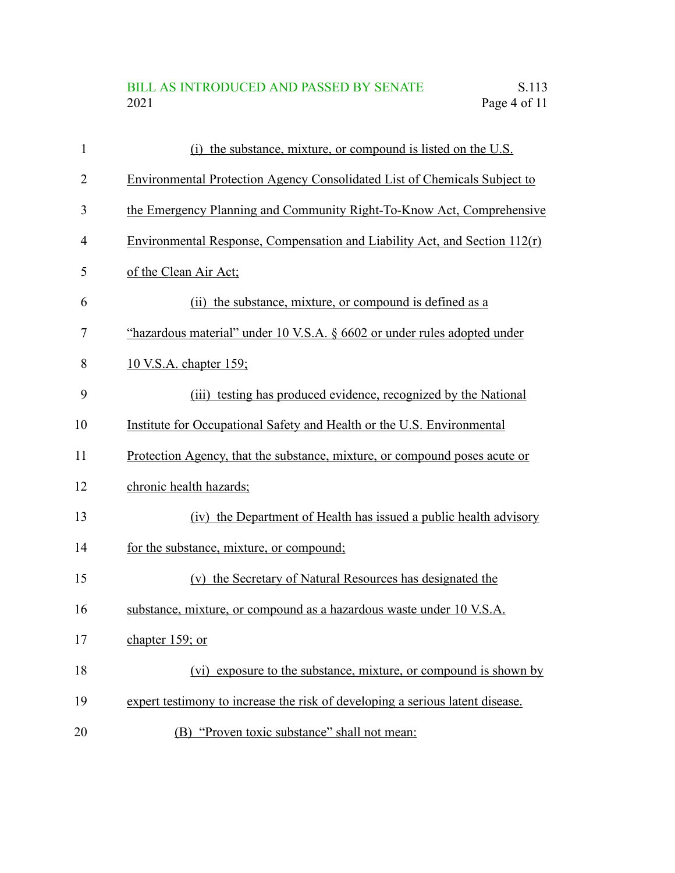# BILL AS INTRODUCED AND PASSED BY SENATE S.113<br>2021 Page 4 of 11 Page 4 of 11

| $\mathbf{1}$   | (i) the substance, mixture, or compound is listed on the U.S.                    |
|----------------|----------------------------------------------------------------------------------|
| $\overline{2}$ | <b>Environmental Protection Agency Consolidated List of Chemicals Subject to</b> |
| 3              | the Emergency Planning and Community Right-To-Know Act, Comprehensive            |
| 4              | Environmental Response, Compensation and Liability Act, and Section $112(r)$     |
| 5              | of the Clean Air Act;                                                            |
| 6              | (ii) the substance, mixture, or compound is defined as a                         |
| 7              | "hazardous material" under 10 V.S.A. § 6602 or under rules adopted under         |
| 8              | 10 V.S.A. chapter 159;                                                           |
| 9              | (iii) testing has produced evidence, recognized by the National                  |
| 10             | Institute for Occupational Safety and Health or the U.S. Environmental           |
| 11             | Protection Agency, that the substance, mixture, or compound poses acute or       |
| 12             | chronic health hazards;                                                          |
| 13             | (iv) the Department of Health has issued a public health advisory                |
| 14             | for the substance, mixture, or compound;                                         |
| 15             | (v) the Secretary of Natural Resources has designated the                        |
| 16             | substance, mixture, or compound as a hazardous waste under 10 V.S.A.             |
| 17             | chapter 159; or                                                                  |
| 18             | (vi) exposure to the substance, mixture, or compound is shown by                 |
| 19             | expert testimony to increase the risk of developing a serious latent disease.    |
| 20             | (B) "Proven toxic substance" shall not mean:                                     |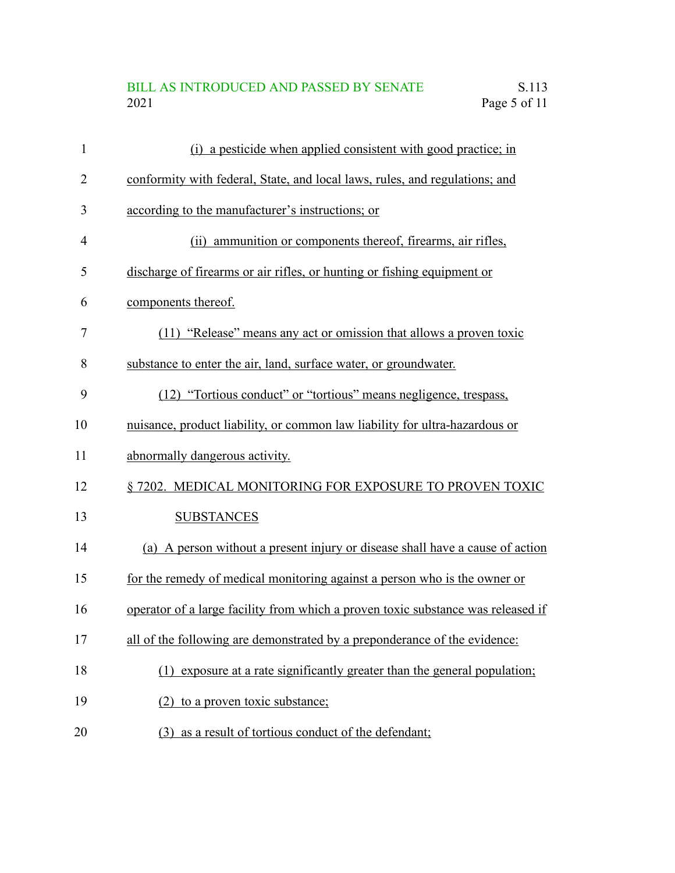# BILL AS INTRODUCED AND PASSED BY SENATE S.113<br>2021 Page 5 of 11 Page 5 of 11

| 1  | (i) a pesticide when applied consistent with good practice; in                   |
|----|----------------------------------------------------------------------------------|
| 2  | conformity with federal, State, and local laws, rules, and regulations; and      |
| 3  | according to the manufacturer's instructions; or                                 |
| 4  | (ii) ammunition or components thereof, firearms, air rifles,                     |
| 5  | discharge of firearms or air rifles, or hunting or fishing equipment or          |
| 6  | components thereof.                                                              |
| 7  | (11) "Release" means any act or omission that allows a proven toxic              |
| 8  | substance to enter the air, land, surface water, or groundwater.                 |
| 9  | (12) "Tortious conduct" or "tortious" means negligence, trespass,                |
| 10 | nuisance, product liability, or common law liability for ultra-hazardous or      |
| 11 | abnormally dangerous activity.                                                   |
| 12 | § 7202. MEDICAL MONITORING FOR EXPOSURE TO PROVEN TOXIC                          |
| 13 | <b>SUBSTANCES</b>                                                                |
| 14 | (a) A person without a present injury or disease shall have a cause of action    |
| 15 | for the remedy of medical monitoring against a person who is the owner or        |
| 16 | operator of a large facility from which a proven toxic substance was released if |
| 17 | all of the following are demonstrated by a preponderance of the evidence:        |
| 18 | (1) exposure at a rate significantly greater than the general population;        |
| 19 | to a proven toxic substance;<br>(2)                                              |
| 20 | (3) as a result of tortious conduct of the defendant;                            |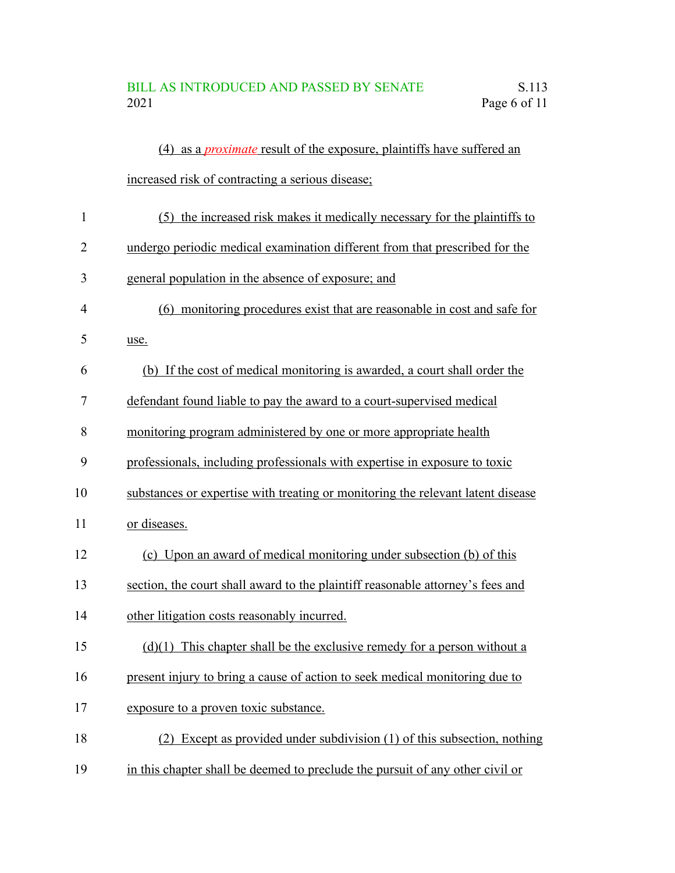|              | (4) as a <i>proximate</i> result of the exposure, plaintiffs have suffered an   |
|--------------|---------------------------------------------------------------------------------|
|              | increased risk of contracting a serious disease;                                |
| $\mathbf{1}$ | (5) the increased risk makes it medically necessary for the plaintiffs to       |
| 2            | undergo periodic medical examination different from that prescribed for the     |
| 3            | general population in the absence of exposure; and                              |
| 4            | (6) monitoring procedures exist that are reasonable in cost and safe for        |
| 5            | use.                                                                            |
| 6            | (b) If the cost of medical monitoring is awarded, a court shall order the       |
| 7            | defendant found liable to pay the award to a court-supervised medical           |
| 8            | monitoring program administered by one or more appropriate health               |
| 9            | professionals, including professionals with expertise in exposure to toxic      |
| 10           | substances or expertise with treating or monitoring the relevant latent disease |
| 11           | or diseases.                                                                    |
| 12           | (c) Upon an award of medical monitoring under subsection (b) of this            |
| 13           | section, the court shall award to the plaintiff reasonable attorney's fees and  |
| 14           | other litigation costs reasonably incurred.                                     |
| 15           | $(d)(1)$ This chapter shall be the exclusive remedy for a person without a      |
| 16           | present injury to bring a cause of action to seek medical monitoring due to     |
| 17           | exposure to a proven toxic substance.                                           |
| 18           | (2) Except as provided under subdivision (1) of this subsection, nothing        |
| 19           | in this chapter shall be deemed to preclude the pursuit of any other civil or   |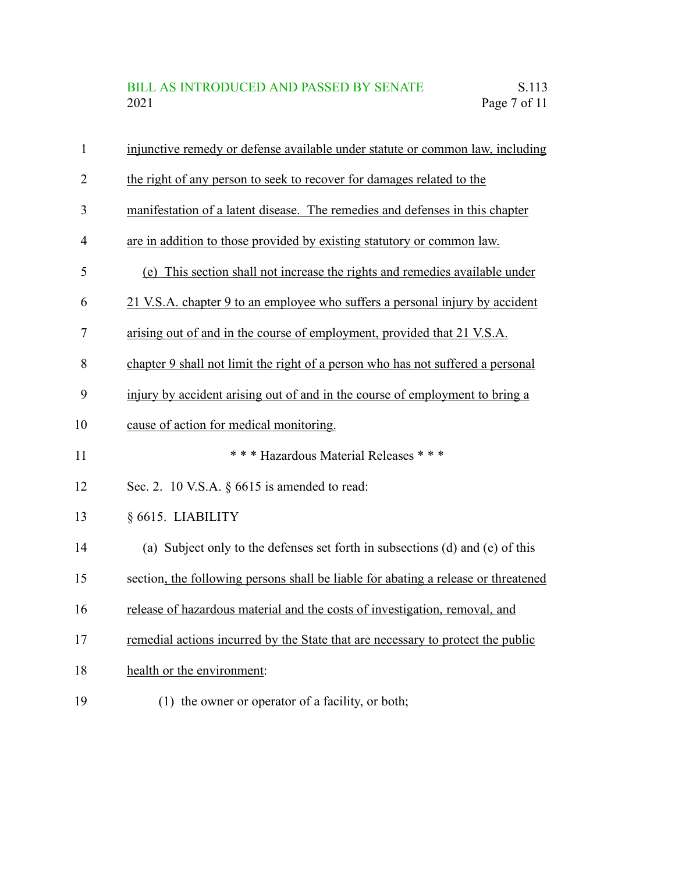| $\mathbf{1}$   | injunctive remedy or defense available under statute or common law, including      |
|----------------|------------------------------------------------------------------------------------|
| $\overline{2}$ | the right of any person to seek to recover for damages related to the              |
| 3              | manifestation of a latent disease. The remedies and defenses in this chapter       |
| $\overline{4}$ | are in addition to those provided by existing statutory or common law.             |
| 5              | (e) This section shall not increase the rights and remedies available under        |
| 6              | 21 V.S.A. chapter 9 to an employee who suffers a personal injury by accident       |
| 7              | arising out of and in the course of employment, provided that 21 V.S.A.            |
| 8              | chapter 9 shall not limit the right of a person who has not suffered a personal    |
| 9              | injury by accident arising out of and in the course of employment to bring a       |
| 10             | cause of action for medical monitoring.                                            |
| 11             | *** Hazardous Material Releases ***                                                |
| 12             | Sec. 2. 10 V.S.A. § 6615 is amended to read:                                       |
| 13             | § 6615. LIABILITY                                                                  |
| 14             | (a) Subject only to the defenses set forth in subsections (d) and (e) of this      |
| 15             | section, the following persons shall be liable for abating a release or threatened |
| 16             | release of hazardous material and the costs of investigation, removal, and         |
| 17             | remedial actions incurred by the State that are necessary to protect the public    |
| 18             | health or the environment:                                                         |
| 19             | (1) the owner or operator of a facility, or both;                                  |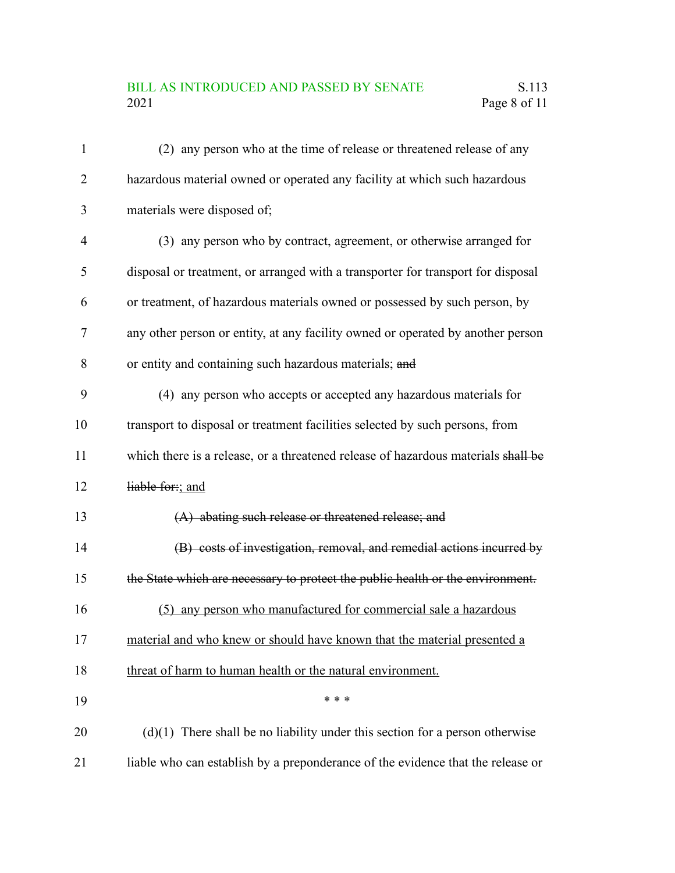# BILL AS INTRODUCED AND PASSED BY SENATE S.113<br>2021 Page 8 of 11 Page 8 of 11

| 1              | (2) any person who at the time of release or threatened release of any            |
|----------------|-----------------------------------------------------------------------------------|
| $\overline{2}$ | hazardous material owned or operated any facility at which such hazardous         |
| 3              | materials were disposed of;                                                       |
| $\overline{4}$ | (3) any person who by contract, agreement, or otherwise arranged for              |
| 5              | disposal or treatment, or arranged with a transporter for transport for disposal  |
| 6              | or treatment, of hazardous materials owned or possessed by such person, by        |
| 7              | any other person or entity, at any facility owned or operated by another person   |
| 8              | or entity and containing such hazardous materials; and                            |
| 9              | (4) any person who accepts or accepted any hazardous materials for                |
| 10             | transport to disposal or treatment facilities selected by such persons, from      |
| 11             | which there is a release, or a threatened release of hazardous materials shall be |
| 12             | liable for:; and                                                                  |
| 13             | (A) abating such release or threatened release; and                               |
| 14             | (B) costs of investigation, removal, and remedial actions incurred by             |
| 15             | the State which are necessary to protect the public health or the environment.    |
| 16             | (5) any person who manufactured for commercial sale a hazardous                   |
| 17             | material and who knew or should have known that the material presented a          |
| 18             | threat of harm to human health or the natural environment.                        |
| 19             | * * *                                                                             |
| 20             | $(d)(1)$ There shall be no liability under this section for a person otherwise    |
| 21             | liable who can establish by a preponderance of the evidence that the release or   |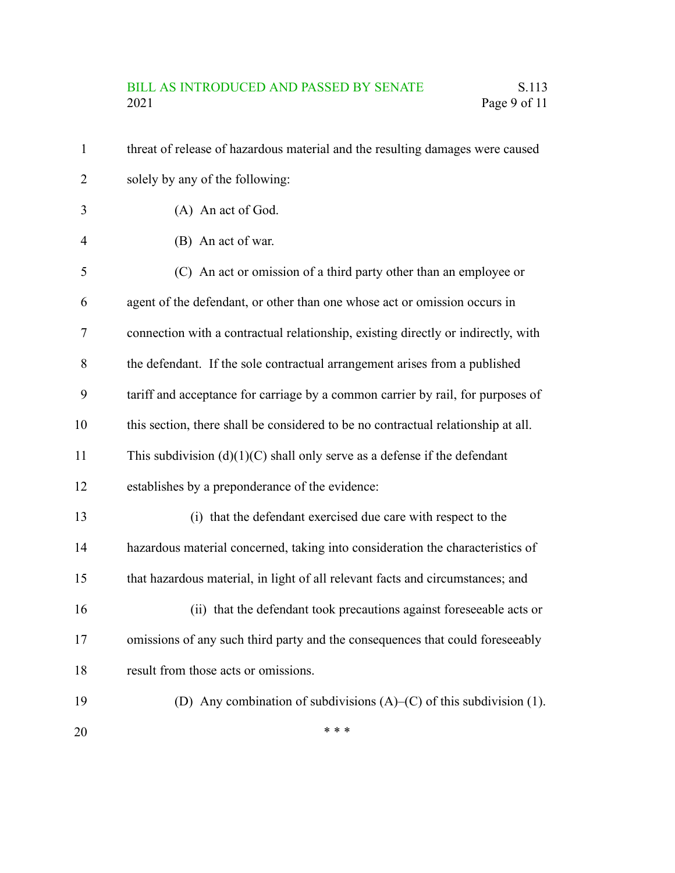#### BILL AS INTRODUCED AND PASSED BY SENATE S.113 2021 Page 9 of 11

threat of release of hazardous material and the resulting damages were caused solely by any of the following: (A) An act of God. (B) An act of war. (C) An act or omission of a third party other than an employee or agent of the defendant, or other than one whose act or omission occurs in connection with a contractual relationship, existing directly or indirectly, with the defendant. If the sole contractual arrangement arises from a published tariff and acceptance for carriage by a common carrier by rail, for purposes of this section, there shall be considered to be no contractual relationship at all. This subdivision  $(d)(1)(C)$  shall only serve as a defense if the defendant establishes by a preponderance of the evidence: (i) that the defendant exercised due care with respect to the hazardous material concerned, taking into consideration the characteristics of that hazardous material, in light of all relevant facts and circumstances; and (ii) that the defendant took precautions against foreseeable acts or omissions of any such third party and the consequences that could foreseeably result from those acts or omissions. (D) Any combination of subdivisions (A)–(C) of this subdivision (1). \* \* \* 1 2 3 4 5 6 7 8 9 10 11 12 13 14 15 16 17 18 19 20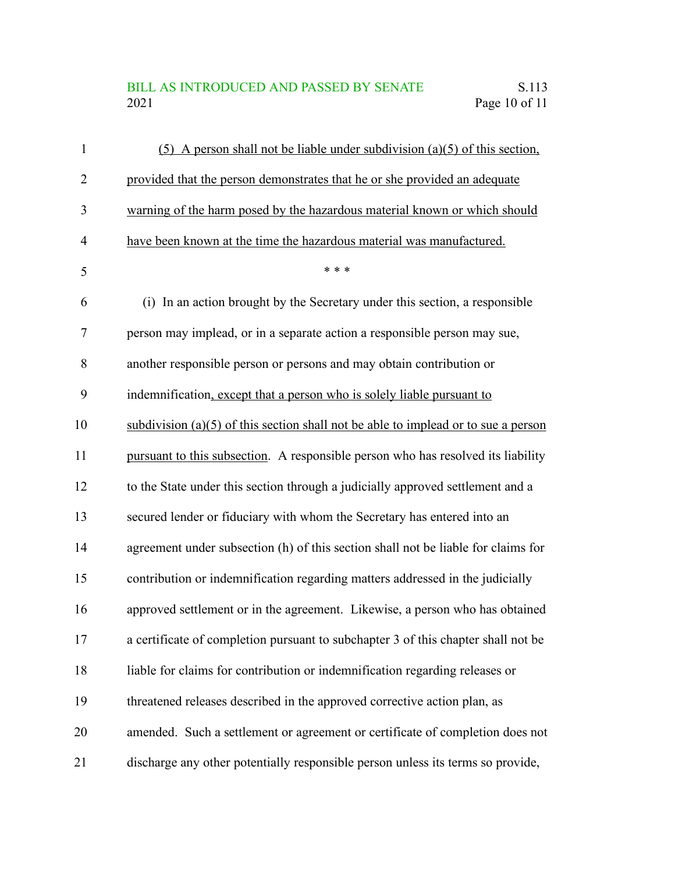### BILL AS INTRODUCED AND PASSED BY SENATE<br>2021 Page 10 of 11 Page 10 of 11

| $\mathbf{1}$   | $(5)$ A person shall not be liable under subdivision (a)(5) of this section,         |
|----------------|--------------------------------------------------------------------------------------|
| $\overline{2}$ | provided that the person demonstrates that he or she provided an adequate            |
| 3              | warning of the harm posed by the hazardous material known or which should            |
| $\overline{4}$ | have been known at the time the hazardous material was manufactured.                 |
| 5              | * * *                                                                                |
| 6              | (i) In an action brought by the Secretary under this section, a responsible          |
| $\tau$         | person may implead, or in a separate action a responsible person may sue,            |
| 8              | another responsible person or persons and may obtain contribution or                 |
| 9              | indemnification, except that a person who is solely liable pursuant to               |
| 10             | subdivision $(a)(5)$ of this section shall not be able to implead or to sue a person |
| 11             | pursuant to this subsection. A responsible person who has resolved its liability     |
| 12             | to the State under this section through a judicially approved settlement and a       |
| 13             | secured lender or fiduciary with whom the Secretary has entered into an              |
| 14             | agreement under subsection (h) of this section shall not be liable for claims for    |
| 15             | contribution or indemnification regarding matters addressed in the judicially        |
| 16             | approved settlement or in the agreement. Likewise, a person who has obtained         |
| 17             | a certificate of completion pursuant to subchapter 3 of this chapter shall not be    |
| 18             | liable for claims for contribution or indemnification regarding releases or          |
| 19             | threatened releases described in the approved corrective action plan, as             |
| 20             | amended. Such a settlement or agreement or certificate of completion does not        |
| 21             | discharge any other potentially responsible person unless its terms so provide,      |